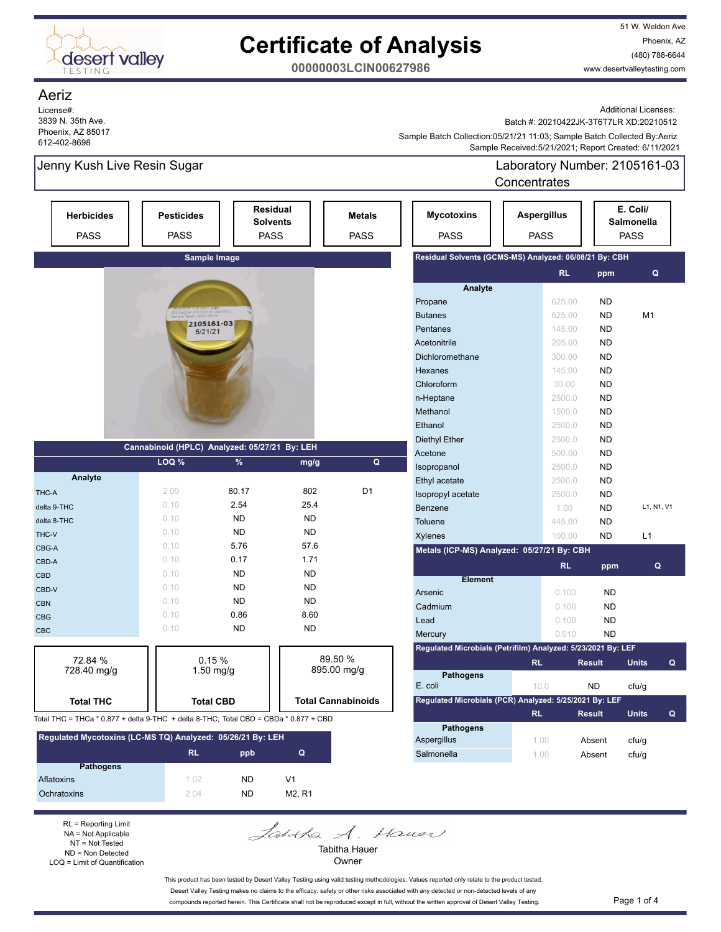

51 W. Weldon Ave Phoenix, AZ (480) 788-6644 www.desertvalleytesting.com

**00000003LCIN00627986**

### Aeriz

License#: 3839 N. 35th Ave. Phoenix, AZ 85017 612-402-8698

Additional Licenses:

Batch #: 20210422JK-3T6T7LR XD:20210512

 Sample Received:5/21/2021; Report Created: 6/11/2021 Sample Batch Collection:05/21/21 11:03; Sample Batch Collected By:Aeriz

Salmonella 1.00 Absent cfu/g

Jenny Kush Live Resin Sugar Laboratory Number: 2105161-03 **Concentrates** 

| <b>Herbicides</b><br><b>PASS</b>                                                     | <b>Pesticides</b><br><b>PASS</b>              |                  | <b>Residual</b><br><b>Solvents</b><br><b>PASS</b> | <b>Metals</b><br><b>PASS</b> | <b>Mycotoxins</b><br><b>PASS</b>                             | <b>Aspergillus</b><br><b>PASS</b> |               | E. Coli/<br><b>Salmonella</b><br><b>PASS</b> |   |
|--------------------------------------------------------------------------------------|-----------------------------------------------|------------------|---------------------------------------------------|------------------------------|--------------------------------------------------------------|-----------------------------------|---------------|----------------------------------------------|---|
|                                                                                      |                                               | Sample Image     |                                                   |                              | Residual Solvents (GCMS-MS) Analyzed: 06/08/21 By: CBH       |                                   |               |                                              |   |
|                                                                                      |                                               |                  |                                                   |                              |                                                              | <b>RL</b>                         | ppm           | Q                                            |   |
|                                                                                      |                                               |                  |                                                   |                              | Analyte                                                      |                                   |               |                                              |   |
|                                                                                      |                                               |                  |                                                   |                              | Propane                                                      | 625.00                            | <b>ND</b>     |                                              |   |
|                                                                                      | 2.JK-3T6T7LR XD:202<br>Гакеп: 2021/05/19      | 2105161-03       |                                                   |                              | <b>Butanes</b>                                               | 625.00                            | <b>ND</b>     | M <sub>1</sub>                               |   |
|                                                                                      | 5/21/21                                       |                  |                                                   |                              | Pentanes                                                     | 145.00                            | <b>ND</b>     |                                              |   |
|                                                                                      |                                               |                  |                                                   |                              | Acetonitrile                                                 | 205.00                            | <b>ND</b>     |                                              |   |
|                                                                                      |                                               |                  |                                                   |                              | Dichloromethane                                              | 300.00                            | <b>ND</b>     |                                              |   |
|                                                                                      |                                               |                  |                                                   |                              | Hexanes                                                      | 145.00                            | <b>ND</b>     |                                              |   |
|                                                                                      |                                               |                  |                                                   |                              | Chloroform                                                   | 30.00                             | <b>ND</b>     |                                              |   |
|                                                                                      |                                               |                  |                                                   |                              | n-Heptane                                                    | 2500.0                            | <b>ND</b>     |                                              |   |
|                                                                                      |                                               |                  |                                                   |                              | Methanol                                                     | 1500.0                            | <b>ND</b>     |                                              |   |
|                                                                                      |                                               |                  |                                                   |                              | Ethanol                                                      | 2500.0                            | <b>ND</b>     |                                              |   |
|                                                                                      | Cannabinoid (HPLC) Analyzed: 05/27/21 By: LEH |                  |                                                   |                              | <b>Diethyl Ether</b>                                         | 2500.0                            | <b>ND</b>     |                                              |   |
|                                                                                      |                                               |                  |                                                   |                              | Acetone                                                      | 500.00                            | <b>ND</b>     |                                              |   |
|                                                                                      | LOQ %                                         | $\%$             | mg/g                                              | Q                            | Isopropanol                                                  | 2500.0                            | <b>ND</b>     |                                              |   |
| Analyte                                                                              |                                               |                  |                                                   |                              | Ethyl acetate                                                | 2500.0                            | <b>ND</b>     |                                              |   |
| THC-A                                                                                | 2.09                                          | 80.17            | 802                                               | D <sub>1</sub>               | Isopropyl acetate                                            | 2500.0                            | <b>ND</b>     |                                              |   |
| delta 9-THC                                                                          | 0.10                                          | 2.54             | 25.4                                              |                              | Benzene                                                      | 1.00                              | <b>ND</b>     | L1, N1, V1                                   |   |
| delta 8-THC                                                                          | 0.10                                          | <b>ND</b>        | <b>ND</b>                                         |                              | Toluene                                                      | 445.00                            | <b>ND</b>     |                                              |   |
| THC-V                                                                                | 0.10                                          | <b>ND</b>        | <b>ND</b>                                         |                              | Xylenes                                                      | 100.00                            | <b>ND</b>     | L1                                           |   |
| CBG-A                                                                                | 0.10                                          | 5.76             | 57.6                                              |                              | Metals (ICP-MS) Analyzed: 05/27/21 By: CBH                   |                                   |               |                                              |   |
| CBD-A                                                                                | 0.10                                          | 0.17             | 1.71                                              |                              |                                                              | RL                                | ppm           | Q                                            |   |
| <b>CBD</b>                                                                           | 0.10                                          | <b>ND</b>        | <b>ND</b>                                         |                              | <b>Element</b>                                               |                                   |               |                                              |   |
| CBD-V                                                                                | 0.10                                          | <b>ND</b>        | <b>ND</b>                                         |                              | Arsenic                                                      | 0.100                             | <b>ND</b>     |                                              |   |
| <b>CBN</b>                                                                           | 0.10                                          | <b>ND</b>        | <b>ND</b>                                         |                              | Cadmium                                                      | 0.100                             | <b>ND</b>     |                                              |   |
| <b>CBG</b>                                                                           | 0.10                                          | 0.86             | 8.60                                              |                              | Lead                                                         | 0.100                             | <b>ND</b>     |                                              |   |
| <b>CBC</b>                                                                           | 0.10                                          | <b>ND</b>        | <b>ND</b>                                         |                              | Mercury                                                      | 0.010                             | <b>ND</b>     |                                              |   |
|                                                                                      |                                               |                  |                                                   |                              | Regulated Microbials (Petrifilm) Analyzed: 5/23/2021 By: LEF |                                   |               |                                              |   |
| 72.84 %                                                                              |                                               | 0.15%            |                                                   | 89.50 %                      |                                                              | <b>RL</b>                         | <b>Result</b> | <b>Units</b>                                 | Q |
| 728.40 mg/g                                                                          |                                               | $1.50$ mg/g      |                                                   | 895.00 mg/g                  | <b>Pathogens</b>                                             |                                   |               |                                              |   |
|                                                                                      |                                               |                  |                                                   |                              | E. coli                                                      | 10.0                              | <b>ND</b>     | cfu/g                                        |   |
| <b>Total THC</b>                                                                     |                                               | <b>Total CBD</b> |                                                   | <b>Total Cannabinoids</b>    | Regulated Microbials (PCR) Analyzed: 5/25/2021 By: LEF       |                                   |               |                                              |   |
| Total THC = THCa * 0.877 + delta 9-THC + delta 8-THC; Total CBD = CBDa * 0.877 + CBD |                                               |                  |                                                   |                              |                                                              | <b>RL</b>                         | <b>Result</b> | <b>Units</b>                                 | Q |
| Regulated Mycotoxins (LC-MS TQ) Analyzed: 05/26/21 By: LEH                           |                                               |                  |                                                   |                              | <b>Pathogens</b><br><b>Aspergillus</b>                       | 1.00                              | Absent        | cfu/a                                        |   |

| Regulated MycOlOxIIIS (LC-MS-TQ) Analyzed. 03/20/21 By. LEH |      |           |                |  |  |  |
|-------------------------------------------------------------|------|-----------|----------------|--|--|--|
|                                                             | RL   | ppb       | Q              |  |  |  |
| <b>Pathogens</b>                                            |      |           |                |  |  |  |
| Aflatoxins                                                  | 1.02 | <b>ND</b> | V <sub>1</sub> |  |  |  |
| Ochratoxins                                                 | 204  | <b>ND</b> | M2. R1         |  |  |  |

RL = Reporting Limit NA = Not Applicable NT = Not Tested ND = Non Detected LOQ = Limit of Quantification Jahtha A. Hauer Tabitha Hauer

Owner

This product has been tested by Desert Valley Testing using valid testing methodologies. Values reported only relate to the product tested. Desert Valley Testing makes no claims to the efficacy, safety or other risks associated with any detected or non-detected levels of any compounds reported herein. This Certificate shall not be reproduced except in full, without the written approval of Desert Valley Testing. Page 1 of 4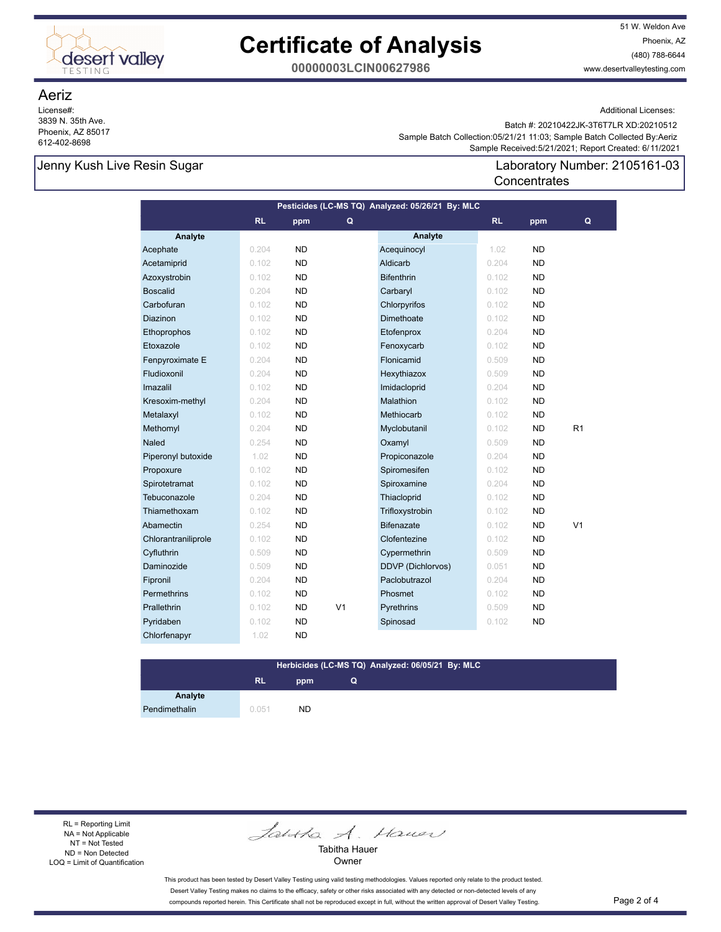

51 W. Weldon Ave Phoenix, AZ (480) 788-6644 www.desertvalleytesting.com

**00000003LCIN00627986**

### Aeriz

License#: 3839 N. 35th Ave. Phoenix, AZ 85017 612-402-8698

Additional Licenses:

 Sample Received:5/21/2021; Report Created: 6/11/2021 Sample Batch Collection:05/21/21 11:03; Sample Batch Collected By:Aeriz Batch #: 20210422JK-3T6T7LR XD:20210512

**Concentrates** 

## Jenny Kush Live Resin Sugar Laboratory Number: 2105161-03

| Pesticides (LC-MS TQ) Analyzed: 05/26/21 By: MLC |       |           |                |                   |           |           |                |  |
|--------------------------------------------------|-------|-----------|----------------|-------------------|-----------|-----------|----------------|--|
|                                                  | RL    | ppm       | Q              |                   | <b>RL</b> | ppm       | Q              |  |
| Analyte                                          |       |           |                | Analyte           |           |           |                |  |
| Acephate                                         | 0.204 | <b>ND</b> |                | Acequinocyl       | 1.02      | <b>ND</b> |                |  |
| Acetamiprid                                      | 0.102 | <b>ND</b> |                | Aldicarb          | 0.204     | <b>ND</b> |                |  |
| Azoxystrobin                                     | 0.102 | <b>ND</b> |                | <b>Bifenthrin</b> | 0.102     | <b>ND</b> |                |  |
| <b>Boscalid</b>                                  | 0.204 | <b>ND</b> |                | Carbaryl          | 0.102     | <b>ND</b> |                |  |
| Carbofuran                                       | 0.102 | <b>ND</b> |                | Chlorpyrifos      | 0.102     | <b>ND</b> |                |  |
| Diazinon                                         | 0.102 | <b>ND</b> |                | Dimethoate        | 0.102     | <b>ND</b> |                |  |
| Ethoprophos                                      | 0.102 | <b>ND</b> |                | Etofenprox        | 0.204     | <b>ND</b> |                |  |
| Etoxazole                                        | 0.102 | <b>ND</b> |                | Fenoxycarb        | 0.102     | <b>ND</b> |                |  |
| Fenpyroximate E                                  | 0.204 | <b>ND</b> |                | Flonicamid        | 0.509     | <b>ND</b> |                |  |
| Fludioxonil                                      | 0.204 | <b>ND</b> |                | Hexythiazox       | 0.509     | <b>ND</b> |                |  |
| Imazalil                                         | 0.102 | <b>ND</b> |                | Imidacloprid      | 0.204     | <b>ND</b> |                |  |
| Kresoxim-methyl                                  | 0.204 | <b>ND</b> |                | Malathion         | 0.102     | <b>ND</b> |                |  |
| Metalaxyl                                        | 0.102 | <b>ND</b> |                | Methiocarb        | 0.102     | <b>ND</b> |                |  |
| Methomyl                                         | 0.204 | <b>ND</b> |                | Myclobutanil      | 0.102     | <b>ND</b> | R1             |  |
| Naled                                            | 0.254 | <b>ND</b> |                | Oxamyl            | 0.509     | <b>ND</b> |                |  |
| Piperonyl butoxide                               | 1.02  | <b>ND</b> |                | Propiconazole     | 0.204     | <b>ND</b> |                |  |
| Propoxure                                        | 0.102 | ND.       |                | Spiromesifen      | 0.102     | <b>ND</b> |                |  |
| Spirotetramat                                    | 0.102 | <b>ND</b> |                | Spiroxamine       | 0.204     | <b>ND</b> |                |  |
| Tebuconazole                                     | 0.204 | <b>ND</b> |                | Thiacloprid       | 0.102     | <b>ND</b> |                |  |
| Thiamethoxam                                     | 0.102 | <b>ND</b> |                | Trifloxystrobin   | 0.102     | <b>ND</b> |                |  |
| Abamectin                                        | 0.254 | <b>ND</b> |                | <b>Bifenazate</b> | 0.102     | <b>ND</b> | V <sub>1</sub> |  |
| Chlorantraniliprole                              | 0.102 | <b>ND</b> |                | Clofentezine      | 0.102     | <b>ND</b> |                |  |
| Cyfluthrin                                       | 0.509 | <b>ND</b> |                | Cypermethrin      | 0.509     | <b>ND</b> |                |  |
| Daminozide                                       | 0.509 | <b>ND</b> |                | DDVP (Dichlorvos) | 0.051     | <b>ND</b> |                |  |
| Fipronil                                         | 0.204 | <b>ND</b> |                | Paclobutrazol     | 0.204     | <b>ND</b> |                |  |
| Permethrins                                      | 0.102 | <b>ND</b> |                | Phosmet           | 0.102     | <b>ND</b> |                |  |
| Prallethrin                                      | 0.102 | <b>ND</b> | V <sub>1</sub> | Pyrethrins        | 0.509     | <b>ND</b> |                |  |
| Pyridaben                                        | 0.102 | <b>ND</b> |                | Spinosad          | 0.102     | <b>ND</b> |                |  |
| Chlorfenapyr                                     | 1.02  | <b>ND</b> |                |                   |           |           |                |  |

## **Herbicides (LC-MS TQ) Analyzed: 06/05/21 By: MLC**

**Q**

# **RL ppm**

**Analyte** Pendimethalin 0.051 ND

RL = Reporting Limit NA = Not Applicable NT = Not Tested ND = Non Detected LOQ = Limit of Quantification

Jantha A. Hauer

Tabitha Hauer Owner

This product has been tested by Desert Valley Testing using valid testing methodologies. Values reported only relate to the product tested. Desert Valley Testing makes no claims to the efficacy, safety or other risks associated with any detected or non-detected levels of any compounds reported herein. This Certificate shall not be reproduced except in full, without the written approval of Desert Valley Testing. Page 2 of 4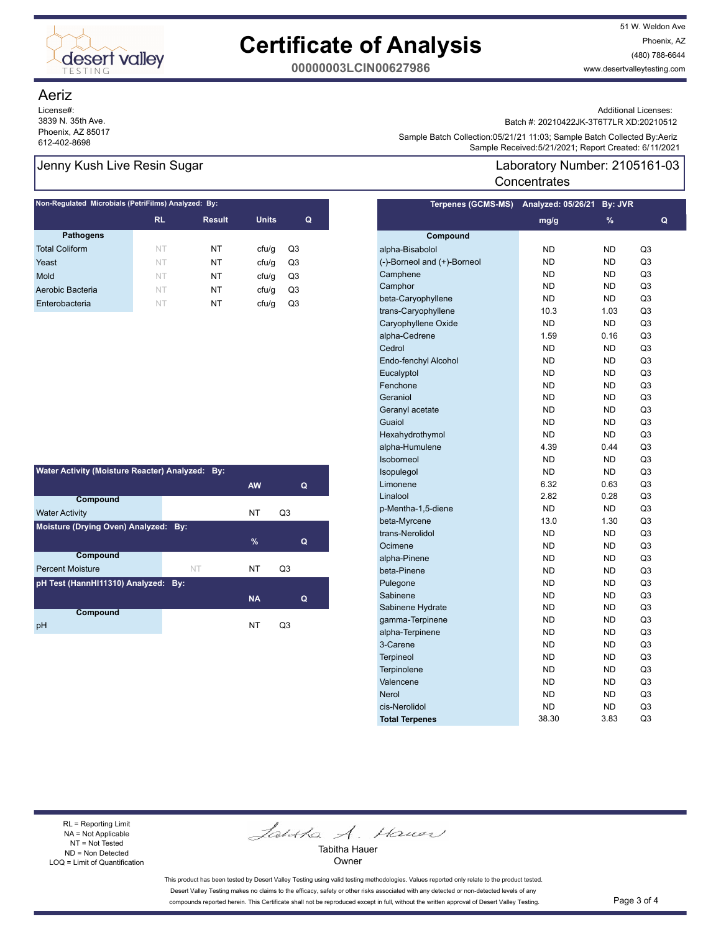

51 W. Weldon Ave Phoenix, AZ (480) 788-6644 www.desertvalleytesting.com

**00000003LCIN00627986**

### Aeriz

License#: 3839 N. 35th Ave. Phoenix, AZ 85017

| Non-Regulated Microbials (PetriFilms) Analyzed: By: |           |               |              |    |  |  |
|-----------------------------------------------------|-----------|---------------|--------------|----|--|--|
|                                                     | <b>RL</b> | <b>Result</b> | <b>Units</b> | Q  |  |  |
| <b>Pathogens</b>                                    |           |               |              |    |  |  |
| <b>Total Coliform</b>                               | NT        | NT            | cfu/q        | Q3 |  |  |
| Yeast                                               | NT        | NT            | cfu/q        | Q3 |  |  |
| Mold                                                | NT        | NT            | cfu/q        | Q3 |  |  |
| Aerobic Bacteria                                    | NT        | NT            | cfu/q        | Q3 |  |  |
| Enterobacteria                                      | NT        | NT            | cfu/q        | Q3 |  |  |

| Water Activity (Moisture Reacter) Analyzed: By: |           |           |                |  |  |  |
|-------------------------------------------------|-----------|-----------|----------------|--|--|--|
|                                                 |           | <b>AW</b> | Q              |  |  |  |
| Compound                                        |           |           |                |  |  |  |
| <b>Water Activity</b>                           |           | <b>NT</b> | Q3             |  |  |  |
| Moisture (Drying Oven) Analyzed: By:            |           |           |                |  |  |  |
|                                                 |           | $\%$      | Q              |  |  |  |
| Compound                                        |           |           |                |  |  |  |
| <b>Percent Moisture</b>                         | <b>NT</b> | NT        | O <sub>3</sub> |  |  |  |
| pH Test (HannHI11310) Analyzed: By:             |           |           |                |  |  |  |
|                                                 |           | <b>NA</b> | Q              |  |  |  |
| Compound                                        |           |           |                |  |  |  |
| рH                                              |           | NT        | O3             |  |  |  |

Additional Licenses:

Batch #: 20210422JK-3T6T7LR XD:20210512

Sample Battri Collection.to/iz in 1.03, Sample Battri Collection.to/iz in 1.03, Sample Battri Collection.to/iz<br>Sample Received:5/21/2021; Report Created: 6/11/2021 Sample Batch Collection:05/21/21 11:03; Sample Batch Collected By:Aeriz

## Jenny Kush Live Resin Sugar Laboratory Number: 2105161-03 **Concentrates**

| <b>Terpenes (GCMS-MS)</b>   | <b>Analyzed: 05/26/21</b> | By: JVR   |    |
|-----------------------------|---------------------------|-----------|----|
|                             | mg/g                      | %         | Q  |
| Compound                    |                           |           |    |
| alpha-Bisabolol             | <b>ND</b>                 | <b>ND</b> | Q3 |
| (-)-Borneol and (+)-Borneol | <b>ND</b>                 | <b>ND</b> | Q3 |
| Camphene                    | <b>ND</b>                 | <b>ND</b> | Q3 |
| Camphor                     | <b>ND</b>                 | <b>ND</b> | Q3 |
| beta-Caryophyllene          | <b>ND</b>                 | <b>ND</b> | Q3 |
| trans-Caryophyllene         | 10.3                      | 1.03      | Q3 |
| Caryophyllene Oxide         | <b>ND</b>                 | <b>ND</b> | Q3 |
| alpha-Cedrene               | 1.59                      | 0.16      | Q3 |
| Cedrol                      | <b>ND</b>                 | <b>ND</b> | Q3 |
| Endo-fenchyl Alcohol        | <b>ND</b>                 | <b>ND</b> | Q3 |
| Eucalyptol                  | <b>ND</b>                 | <b>ND</b> | Q3 |
| Fenchone                    | <b>ND</b>                 | <b>ND</b> | Q3 |
| Geraniol                    | <b>ND</b>                 | <b>ND</b> | Q3 |
| Geranyl acetate             | <b>ND</b>                 | <b>ND</b> | Q3 |
| Guaiol                      | <b>ND</b>                 | <b>ND</b> | Q3 |
| Hexahydrothymol             | <b>ND</b>                 | <b>ND</b> | Q3 |
| alpha-Humulene              | 4.39                      | 0.44      | Q3 |
| Isoborneol                  | <b>ND</b>                 | <b>ND</b> | Q3 |
| Isopulegol                  | <b>ND</b>                 | <b>ND</b> | Q3 |
| Limonene                    | 6.32                      | 0.63      | Q3 |
| Linalool                    | 2.82                      | 0.28      | Q3 |
| p-Mentha-1,5-diene          | <b>ND</b>                 | <b>ND</b> | Q3 |
| beta-Myrcene                | 13.0                      | 1.30      | Q3 |
| trans-Nerolidol             | <b>ND</b>                 | <b>ND</b> | Q3 |
| Ocimene                     | <b>ND</b>                 | <b>ND</b> | Q3 |
| alpha-Pinene                | <b>ND</b>                 | <b>ND</b> | Q3 |
| beta-Pinene                 | <b>ND</b>                 | <b>ND</b> | Q3 |
| Pulegone                    | <b>ND</b>                 | <b>ND</b> | Q3 |
| Sabinene                    | <b>ND</b>                 | <b>ND</b> | Q3 |
| Sabinene Hydrate            | <b>ND</b>                 | <b>ND</b> | Q3 |
| gamma-Terpinene             | <b>ND</b>                 | <b>ND</b> | Q3 |
| alpha-Terpinene             | <b>ND</b>                 | <b>ND</b> | Q3 |
| 3-Carene                    | ND                        | <b>ND</b> | Q3 |
| <b>Terpineol</b>            | <b>ND</b>                 | <b>ND</b> | Q3 |
| Terpinolene                 | ND                        | <b>ND</b> | Q3 |
| Valencene                   | <b>ND</b>                 | <b>ND</b> | Q3 |
| <b>Nerol</b>                | ND                        | <b>ND</b> | Q3 |
| cis-Nerolidol               | <b>ND</b>                 | <b>ND</b> | Q3 |
| <b>Total Terpenes</b>       | 38.30                     | 3.83      | Q3 |

RL = Reporting Limit NA = Not Applicable NT = Not Tested ND = Non Detected LOQ = Limit of Quantification

Jantha A. Hauer

Tabitha Hauer Owner

This product has been tested by Desert Valley Testing using valid testing methodologies. Values reported only relate to the product tested. Desert Valley Testing makes no claims to the efficacy, safety or other risks associated with any detected or non-detected levels of any compounds reported herein. This Certificate shall not be reproduced except in full, without the written approval of Desert Valley Testing. Page 3 of 4